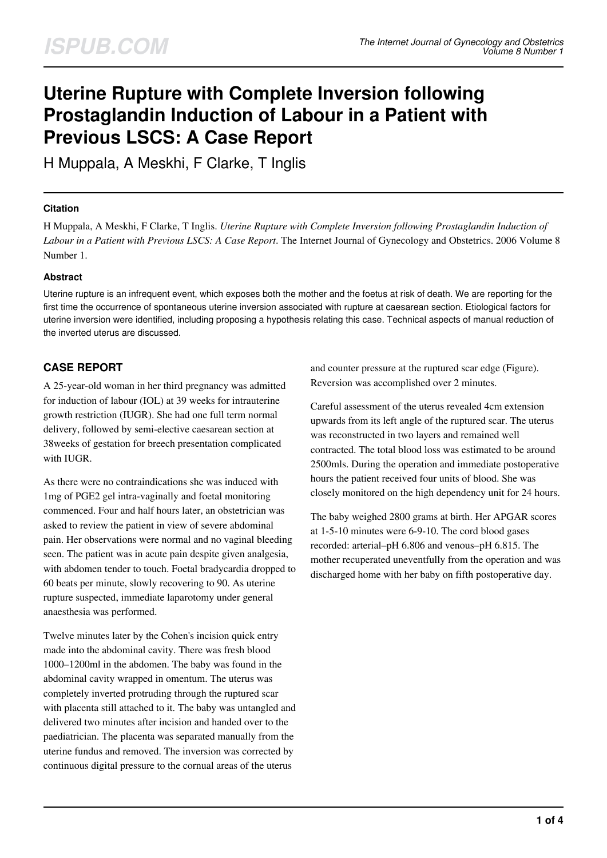# **Uterine Rupture with Complete Inversion following Prostaglandin Induction of Labour in a Patient with Previous LSCS: A Case Report**

H Muppala, A Meskhi, F Clarke, T Inglis

### **Citation**

H Muppala, A Meskhi, F Clarke, T Inglis. *Uterine Rupture with Complete Inversion following Prostaglandin Induction of Labour in a Patient with Previous LSCS: A Case Report*. The Internet Journal of Gynecology and Obstetrics. 2006 Volume 8 Number 1.

#### **Abstract**

Uterine rupture is an infrequent event, which exposes both the mother and the foetus at risk of death. We are reporting for the first time the occurrence of spontaneous uterine inversion associated with rupture at caesarean section. Etiological factors for uterine inversion were identified, including proposing a hypothesis relating this case. Technical aspects of manual reduction of the inverted uterus are discussed.

# **CASE REPORT**

A 25-year-old woman in her third pregnancy was admitted for induction of labour (IOL) at 39 weeks for intrauterine growth restriction (IUGR). She had one full term normal delivery, followed by semi-elective caesarean section at 38weeks of gestation for breech presentation complicated with IUGR.

As there were no contraindications she was induced with 1mg of PGE2 gel intra-vaginally and foetal monitoring commenced. Four and half hours later, an obstetrician was asked to review the patient in view of severe abdominal pain. Her observations were normal and no vaginal bleeding seen. The patient was in acute pain despite given analgesia, with abdomen tender to touch. Foetal bradycardia dropped to 60 beats per minute, slowly recovering to 90. As uterine rupture suspected, immediate laparotomy under general anaesthesia was performed.

Twelve minutes later by the Cohen's incision quick entry made into the abdominal cavity. There was fresh blood 1000–1200ml in the abdomen. The baby was found in the abdominal cavity wrapped in omentum. The uterus was completely inverted protruding through the ruptured scar with placenta still attached to it. The baby was untangled and delivered two minutes after incision and handed over to the paediatrician. The placenta was separated manually from the uterine fundus and removed. The inversion was corrected by continuous digital pressure to the cornual areas of the uterus

and counter pressure at the ruptured scar edge (Figure). Reversion was accomplished over 2 minutes.

Careful assessment of the uterus revealed 4cm extension upwards from its left angle of the ruptured scar. The uterus was reconstructed in two layers and remained well contracted. The total blood loss was estimated to be around 2500mls. During the operation and immediate postoperative hours the patient received four units of blood. She was closely monitored on the high dependency unit for 24 hours.

The baby weighed 2800 grams at birth. Her APGAR scores at 1-5-10 minutes were 6-9-10. The cord blood gases recorded: arterial–pH 6.806 and venous–pH 6.815. The mother recuperated uneventfully from the operation and was discharged home with her baby on fifth postoperative day.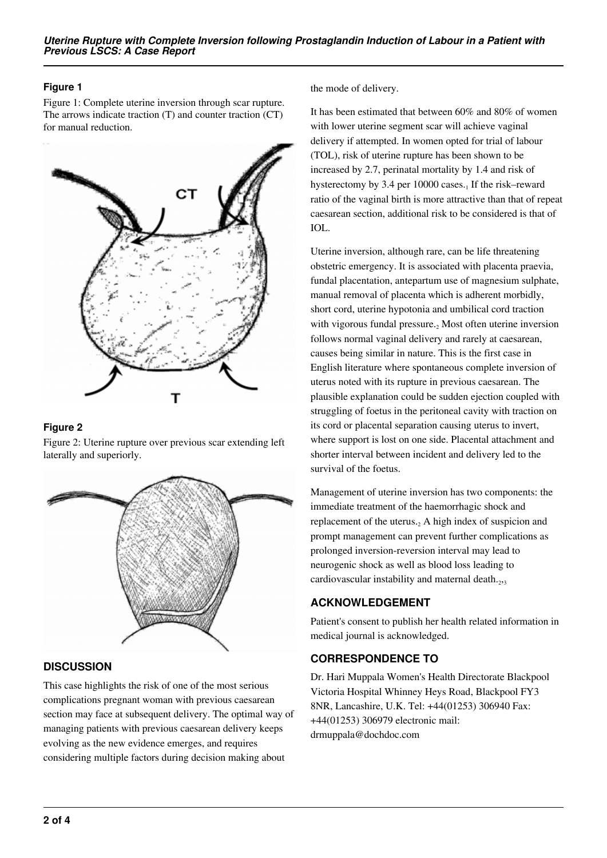## **Figure 1**

Figure 1: Complete uterine inversion through scar rupture. The arrows indicate traction (T) and counter traction (CT) for manual reduction.



#### **Figure 2**

Figure 2: Uterine rupture over previous scar extending left laterally and superiorly.



# **DISCUSSION**

This case highlights the risk of one of the most serious complications pregnant woman with previous caesarean section may face at subsequent delivery. The optimal way of managing patients with previous caesarean delivery keeps evolving as the new evidence emerges, and requires considering multiple factors during decision making about

the mode of delivery.

It has been estimated that between 60% and 80% of women with lower uterine segment scar will achieve vaginal delivery if attempted. In women opted for trial of labour (TOL), risk of uterine rupture has been shown to be increased by 2.7, perinatal mortality by 1.4 and risk of hysterectomy by 3.4 per 10000 cases. $_1$  If the risk–reward ratio of the vaginal birth is more attractive than that of repeat caesarean section, additional risk to be considered is that of IOL.

Uterine inversion, although rare, can be life threatening obstetric emergency. It is associated with placenta praevia, fundal placentation, antepartum use of magnesium sulphate, manual removal of placenta which is adherent morbidly, short cord, uterine hypotonia and umbilical cord traction with vigorous fundal pressure.<sub>2</sub> Most often uterine inversion follows normal vaginal delivery and rarely at caesarean, causes being similar in nature. This is the first case in English literature where spontaneous complete inversion of uterus noted with its rupture in previous caesarean. The plausible explanation could be sudden ejection coupled with struggling of foetus in the peritoneal cavity with traction on its cord or placental separation causing uterus to invert, where support is lost on one side. Placental attachment and shorter interval between incident and delivery led to the survival of the foetus.

Management of uterine inversion has two components: the immediate treatment of the haemorrhagic shock and replacement of the uterus. $_2$  A high index of suspicion and prompt management can prevent further complications as prolonged inversion-reversion interval may lead to neurogenic shock as well as blood loss leading to cardiovascular instability and maternal death. $_{2,3}$ 

# **ACKNOWLEDGEMENT**

Patient's consent to publish her health related information in medical journal is acknowledged.

# **CORRESPONDENCE TO**

Dr. Hari Muppala Women's Health Directorate Blackpool Victoria Hospital Whinney Heys Road, Blackpool FY3 8NR, Lancashire, U.K. Tel: +44(01253) 306940 Fax: +44(01253) 306979 electronic mail: drmuppala@dochdoc.com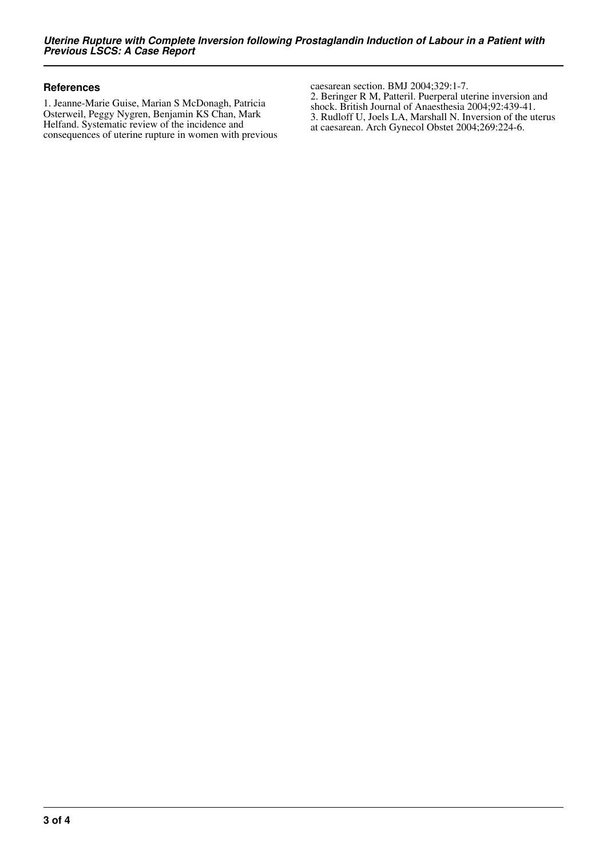#### **References**

1. Jeanne-Marie Guise, Marian S McDonagh, Patricia Osterweil, Peggy Nygren, Benjamin KS Chan, Mark Helfand. Systematic review of the incidence and consequences of uterine rupture in women with previous caesarean section. BMJ 2004;329:1-7. 2. Beringer R M, Patteril. Puerperal uterine inversion and shock. British Journal of Anaesthesia 2004;92:439-41. 3. Rudloff U, Joels LA, Marshall N. Inversion of the uterus at caesarean. Arch Gynecol Obstet 2004;269:224-6.